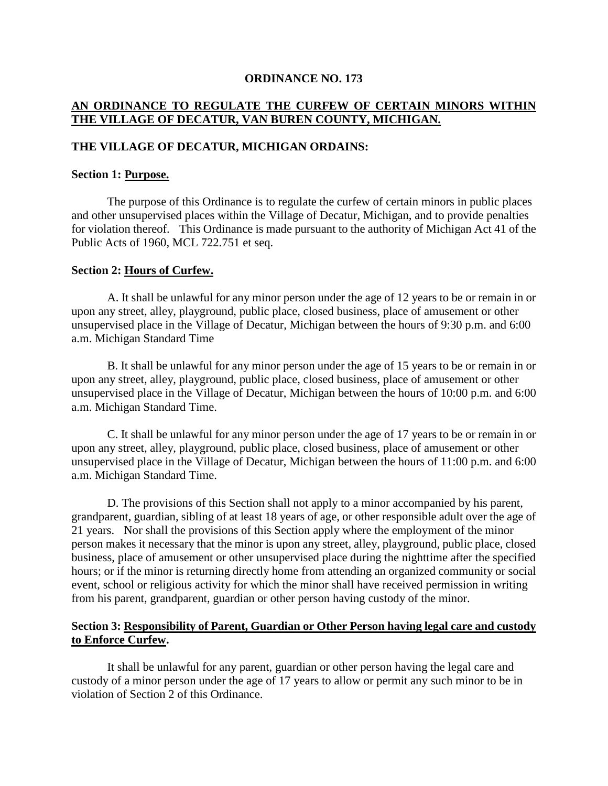#### **ORDINANCE NO. 173**

# **AN ORDINANCE TO REGULATE THE CURFEW OF CERTAIN MINORS WITHIN THE VILLAGE OF DECATUR, VAN BUREN COUNTY, MICHIGAN.**

## **THE VILLAGE OF DECATUR, MICHIGAN ORDAINS:**

#### **Section 1: Purpose.**

The purpose of this Ordinance is to regulate the curfew of certain minors in public places and other unsupervised places within the Village of Decatur, Michigan, and to provide penalties for violation thereof. This Ordinance is made pursuant to the authority of Michigan Act 41 of the Public Acts of 1960, MCL 722.751 et seq.

#### **Section 2: Hours of Curfew.**

A. It shall be unlawful for any minor person under the age of 12 years to be or remain in or upon any street, alley, playground, public place, closed business, place of amusement or other unsupervised place in the Village of Decatur, Michigan between the hours of 9:30 p.m. and 6:00 a.m. Michigan Standard Time

B. It shall be unlawful for any minor person under the age of 15 years to be or remain in or upon any street, alley, playground, public place, closed business, place of amusement or other unsupervised place in the Village of Decatur, Michigan between the hours of 10:00 p.m. and 6:00 a.m. Michigan Standard Time.

C. It shall be unlawful for any minor person under the age of 17 years to be or remain in or upon any street, alley, playground, public place, closed business, place of amusement or other unsupervised place in the Village of Decatur, Michigan between the hours of 11:00 p.m. and 6:00 a.m. Michigan Standard Time.

D. The provisions of this Section shall not apply to a minor accompanied by his parent, grandparent, guardian, sibling of at least 18 years of age, or other responsible adult over the age of 21 years. Nor shall the provisions of this Section apply where the employment of the minor person makes it necessary that the minor is upon any street, alley, playground, public place, closed business, place of amusement or other unsupervised place during the nighttime after the specified hours; or if the minor is returning directly home from attending an organized community or social event, school or religious activity for which the minor shall have received permission in writing from his parent, grandparent, guardian or other person having custody of the minor.

## **Section 3: Responsibility of Parent, Guardian or Other Person having legal care and custody to Enforce Curfew.**

It shall be unlawful for any parent, guardian or other person having the legal care and custody of a minor person under the age of 17 years to allow or permit any such minor to be in violation of Section 2 of this Ordinance.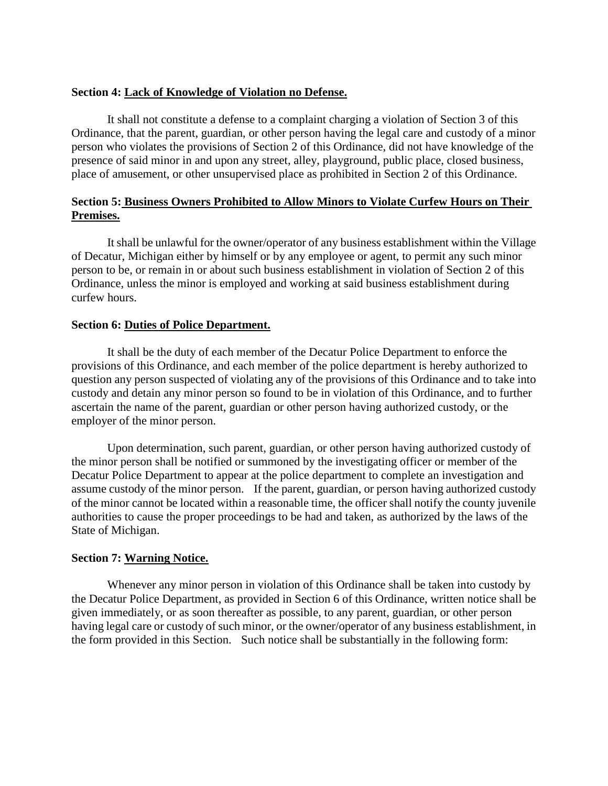## **Section 4: Lack of Knowledge of Violation no Defense.**

It shall not constitute a defense to a complaint charging a violation of Section 3 of this Ordinance, that the parent, guardian, or other person having the legal care and custody of a minor person who violates the provisions of Section 2 of this Ordinance, did not have knowledge of the presence of said minor in and upon any street, alley, playground, public place, closed business, place of amusement, or other unsupervised place as prohibited in Section 2 of this Ordinance.

# **Section 5: Business Owners Prohibited to Allow Minors to Violate Curfew Hours on Their Premises.**

It shall be unlawful for the owner/operator of any business establishment within the Village of Decatur, Michigan either by himself or by any employee or agent, to permit any such minor person to be, or remain in or about such business establishment in violation of Section 2 of this Ordinance, unless the minor is employed and working at said business establishment during curfew hours.

#### **Section 6: Duties of Police Department.**

It shall be the duty of each member of the Decatur Police Department to enforce the provisions of this Ordinance, and each member of the police department is hereby authorized to question any person suspected of violating any of the provisions of this Ordinance and to take into custody and detain any minor person so found to be in violation of this Ordinance, and to further ascertain the name of the parent, guardian or other person having authorized custody, or the employer of the minor person.

Upon determination, such parent, guardian, or other person having authorized custody of the minor person shall be notified or summoned by the investigating officer or member of the Decatur Police Department to appear at the police department to complete an investigation and assume custody of the minor person. If the parent, guardian, or person having authorized custody of the minor cannot be located within a reasonable time, the officer shall notify the county juvenile authorities to cause the proper proceedings to be had and taken, as authorized by the laws of the State of Michigan.

## **Section 7: Warning Notice.**

Whenever any minor person in violation of this Ordinance shall be taken into custody by the Decatur Police Department, as provided in Section 6 of this Ordinance, written notice shall be given immediately, or as soon thereafter as possible, to any parent, guardian, or other person having legal care or custody of such minor, or the owner/operator of any business establishment, in the form provided in this Section. Such notice shall be substantially in the following form: